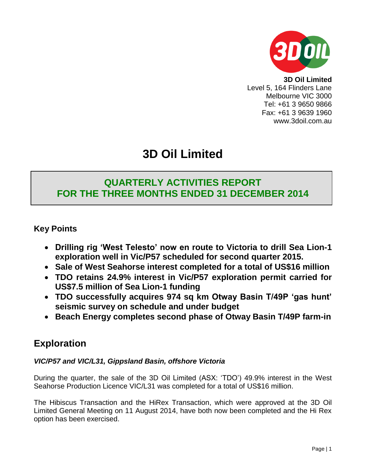

**3D Oil Limited** Level 5, 164 Flinders Lane Melbourne VIC 3000 Tel: +61 3 9650 9866 Fax: +61 3 9639 1960 www.3doil.com.au

# **3D Oil Limited**

## **QUARTERLY ACTIVITIES REPORT FOR THE THREE MONTHS ENDED 31 DECEMBER 2014**

**Key Points**

- **Drilling rig 'West Telesto' now en route to Victoria to drill Sea Lion-1 exploration well in Vic/P57 scheduled for second quarter 2015.**
- **Sale of West Seahorse interest completed for a total of US\$16 million**
- **TDO retains 24.9% interest in Vic/P57 exploration permit carried for US\$7.5 million of Sea Lion-1 funding**
- **TDO successfully acquires 974 sq km Otway Basin T/49P 'gas hunt' seismic survey on schedule and under budget**
- **Beach Energy completes second phase of Otway Basin T/49P farm-in**

# **Exploration**

## *VIC/P57 and VIC/L31, Gippsland Basin, offshore Victoria*

During the quarter, the sale of the 3D Oil Limited (ASX: 'TDO') 49.9% interest in the West Seahorse Production Licence VIC/L31 was completed for a total of US\$16 million.

The Hibiscus Transaction and the HiRex Transaction, which were approved at the 3D Oil Limited General Meeting on 11 August 2014, have both now been completed and the Hi Rex option has been exercised.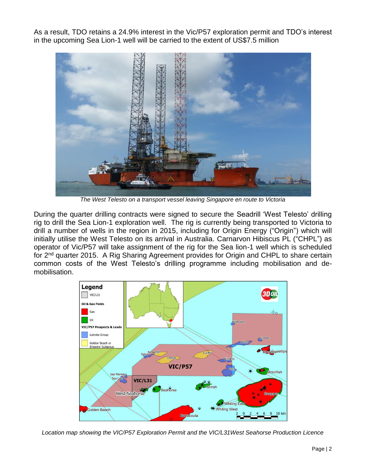As a result, TDO retains a 24.9% interest in the Vic/P57 exploration permit and TDO's interest in the upcoming Sea Lion-1 well will be carried to the extent of US\$7.5 million



*The West Telesto on a transport vessel leaving Singapore en route to Victoria*

During the quarter drilling contracts were signed to secure the Seadrill 'West Telesto' drilling rig to drill the Sea Lion-1 exploration well. The rig is currently being transported to Victoria to drill a number of wells in the region in 2015, including for Origin Energy ("Origin") which will initially utilise the West Telesto on its arrival in Australia. Carnarvon Hibiscus PL ("CHPL") as operator of Vic/P57 will take assignment of the rig for the Sea lion-1 well which is scheduled for 2<sup>nd</sup> quarter 2015. A Rig Sharing Agreement provides for Origin and CHPL to share certain common costs of the West Telesto's drilling programme including mobilisation and demobilisation.



*Location map showing the VIC/P57 Exploration Permit and the VIC/L31West Seahorse Production Licence*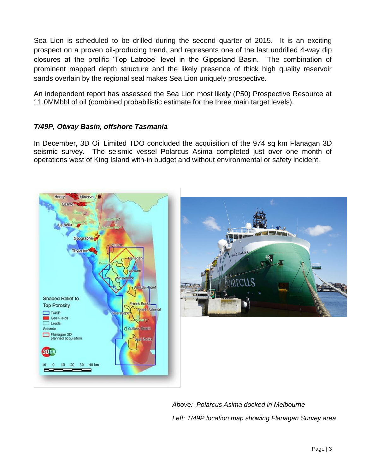Sea Lion is scheduled to be drilled during the second quarter of 2015. It is an exciting prospect on a proven oil-producing trend, and represents one of the last undrilled 4-way dip closures at the prolific 'Top Latrobe' level in the Gippsland Basin. The combination of prominent mapped depth structure and the likely presence of thick high quality reservoir sands overlain by the regional seal makes Sea Lion uniquely prospective.

An independent report has assessed the Sea Lion most likely (P50) Prospective Resource at 11.0MMbbl of oil (combined probabilistic estimate for the three main target levels).

#### *T/49P, Otway Basin, offshore Tasmania*

In December, 3D Oil Limited TDO concluded the acquisition of the 974 sq km Flanagan 3D seismic survey. The seismic vessel Polarcus Asima completed just over one month of operations west of King Island with-in budget and without environmental or safety incident.





*Above: Polarcus Asima docked in Melbourne Left: T/49P location map showing Flanagan Survey area*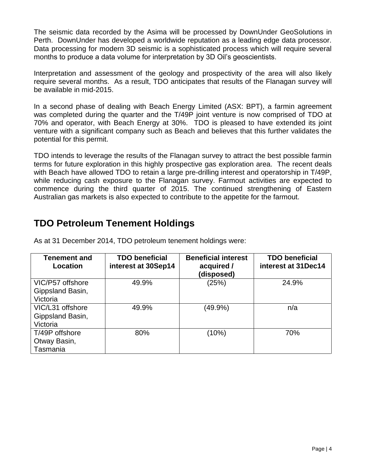The seismic data recorded by the Asima will be processed by DownUnder GeoSolutions in Perth. DownUnder has developed a worldwide reputation as a leading edge data processor. Data processing for modern 3D seismic is a sophisticated process which will require several months to produce a data volume for interpretation by 3D Oil's geoscientists.

Interpretation and assessment of the geology and prospectivity of the area will also likely require several months. As a result, TDO anticipates that results of the Flanagan survey will be available in mid-2015.

In a second phase of dealing with Beach Energy Limited (ASX: BPT), a farmin agreement was completed during the quarter and the T/49P joint venture is now comprised of TDO at 70% and operator, with Beach Energy at 30%. TDO is pleased to have extended its joint venture with a significant company such as Beach and believes that this further validates the potential for this permit.

TDO intends to leverage the results of the Flanagan survey to attract the best possible farmin terms for future exploration in this highly prospective gas exploration area. The recent deals with Beach have allowed TDO to retain a large pre-drilling interest and operatorship in T/49P, while reducing cash exposure to the Flanagan survey. Farmout activities are expected to commence during the third quarter of 2015. The continued strengthening of Eastern Australian gas markets is also expected to contribute to the appetite for the farmout.

# **TDO Petroleum Tenement Holdings**

| <b>Tenement and</b><br>Location                  | <b>TDO beneficial</b><br>interest at 30Sep14 | <b>Beneficial interest</b><br>acquired /<br>(disposed) | <b>TDO beneficial</b><br>interest at 31Dec14 |
|--------------------------------------------------|----------------------------------------------|--------------------------------------------------------|----------------------------------------------|
| VIC/P57 offshore<br>Gippsland Basin,<br>Victoria | 49.9%                                        | (25%)                                                  | 24.9%                                        |
| VIC/L31 offshore<br>Gippsland Basin,<br>Victoria | 49.9%                                        | $(49.9\%)$                                             | n/a                                          |
| T/49P offshore<br>Otway Basin,<br>Tasmania       | 80%                                          | (10%)                                                  | 70%                                          |

As at 31 December 2014, TDO petroleum tenement holdings were: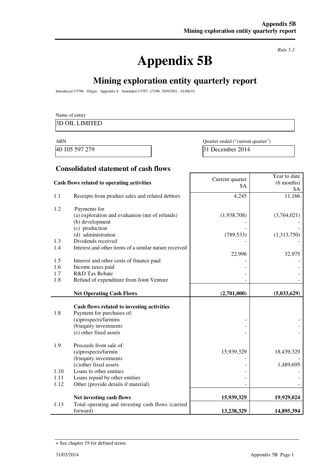# **Appendix 5B**

*Rule 5.3* 

# **Mining exploration entity quarterly report**

Introduced 1/7/96. Origin: Appendix 8. Amended 1/7/97, 1/7/98, 30/9/2001 , 01/06/10.

|            | Name of entity                                        |                                   |                     |
|------------|-------------------------------------------------------|-----------------------------------|---------------------|
|            | <b>3D OIL LIMITED</b>                                 |                                   |                     |
|            |                                                       |                                   |                     |
| <b>ABN</b> |                                                       | Quarter ended ("current quarter") |                     |
|            | 40 105 597 279                                        | 31 December 2014                  |                     |
|            | <b>Consolidated statement of cash flows</b>           |                                   |                     |
|            |                                                       |                                   | Year to date        |
|            | Cash flows related to operating activities            | Current quarter<br>\$Α            | $(6$ months)<br>\$A |
| 1.1        | Receipts from product sales and related debtors       | 4,245                             | 11,166              |
| 1.2        | Payments for                                          |                                   |                     |
|            | (a) exploration and evaluation (net of refunds)       | (1,938,708)                       | (3,764,021)         |
|            | (b) development<br>(c) production                     |                                   |                     |
|            | (d) administration                                    | (789, 533)                        | (1,313,750)         |
| 1.3        | Dividends received                                    |                                   |                     |
| 1.4        | Interest and other items of a similar nature received |                                   |                     |
|            |                                                       | 22,996                            | 32,975              |
| 1.5        | Interest and other costs of finance paid              |                                   |                     |
| 1.6        | Income taxes paid                                     |                                   |                     |
| 1.7        | R&D Tax Rebate                                        |                                   |                     |
| 1.8        | Refund of expenditure from Joint Venture              |                                   |                     |
|            | <b>Net Operating Cash Flows</b>                       | (2,701,000)                       | (5,033,629)         |
|            |                                                       |                                   |                     |
|            | Cash flows related to investing activities            |                                   |                     |
| 1.8        | Payment for purchases of:                             |                                   |                     |
|            | (a)prospects/farmins                                  |                                   |                     |
|            | (b) equity investments                                |                                   |                     |
|            | (c) other fixed assets                                |                                   |                     |
| 1.9        | Proceeds from sale of:                                |                                   |                     |
|            | (a)prospects/farmin                                   | 15,939,329                        | 18,439,329          |
|            | (b) equity investments                                |                                   |                     |
|            | (c) other fixed assets                                |                                   | 1,489,695           |
| 1.10       | Loans to other entities                               |                                   |                     |
| 1.11       | Loans repaid by other entities                        |                                   |                     |
| 1.12       | Other (provide details if material)                   |                                   |                     |
|            | Net investing cash flows                              | 15,939,329                        | 19,929,024          |
| 1.13       | Total operating and investing cash flows (carried     |                                   |                     |
|            | forward)                                              | 13,238,329                        | 14,895,394          |

<sup>+</sup> See chapter 19 for defined terms.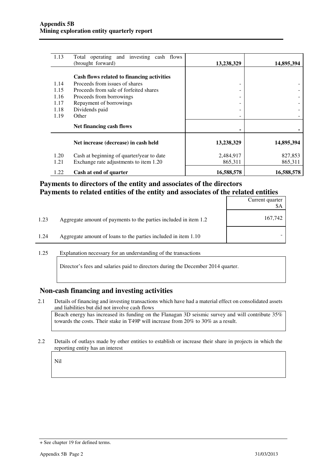| 1.13 | Total operating and investing cash flows<br>(brought forward) | 13,238,329               | 14,895,394 |
|------|---------------------------------------------------------------|--------------------------|------------|
|      |                                                               |                          |            |
|      | Cash flows related to financing activities                    |                          |            |
| 1.14 | Proceeds from issues of shares                                | $\overline{\phantom{0}}$ |            |
| 1.15 | Proceeds from sale of forfeited shares                        |                          |            |
| 1.16 | Proceeds from borrowings                                      |                          |            |
| 1.17 | Repayment of borrowings                                       | ۰                        |            |
| 1.18 | Dividends paid                                                | $\overline{\phantom{0}}$ |            |
| 1.19 | Other                                                         |                          |            |
|      | Net financing cash flows                                      |                          |            |
|      | Net increase (decrease) in cash held                          | 13,238,329               | 14,895,394 |
| 1.20 | Cash at beginning of quarter/year to date                     | 2,484,917                | 827,853    |
| 1.21 | Exchange rate adjustments to item 1.20                        | 865,311                  | 865,311    |
| 1.22 | Cash at end of quarter                                        | 16,588,578               | 16,588,578 |

#### **Payments to directors of the entity and associates of the directors Payments to related entities of the entity and associates of the related entities**

|      |                                                                  | Current quarter<br>\$A |
|------|------------------------------------------------------------------|------------------------|
| 1.23 | Aggregate amount of payments to the parties included in item 1.2 | 167,742                |
| 1.24 | Aggregate amount of loans to the parties included in item 1.10   |                        |

1.25 Explanation necessary for an understanding of the transactions

Director's fees and salaries paid to directors during the December 2014 quarter.

#### **Non-cash financing and investing activities**

- 2.1 Details of financing and investing transactions which have had a material effect on consolidated assets and liabilities but did not involve cash flows Beach energy has increased its funding on the Flanagan 3D seismic survey and will contribute 35% towards the costs. Their stake in T49P will increase from 20% to 30% as a result.
- 2.2 Details of outlays made by other entities to establish or increase their share in projects in which the reporting entity has an interest

Nil

<sup>+</sup> See chapter 19 for defined terms.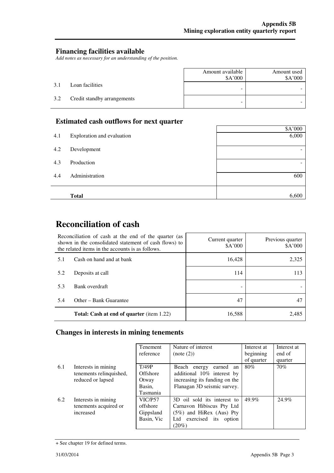#### **Financing facilities available**

*Add notes as necessary for an understanding of the position.* 

|     |                             | Amount available<br>\$A'000 | Amount used<br>\$A'000 |
|-----|-----------------------------|-----------------------------|------------------------|
| 3.1 | Loan facilities             | -                           |                        |
| 3.2 | Credit standby arrangements | -                           |                        |

### **Estimated cash outflows for next quarter**

|     |                            | \$A'000 |
|-----|----------------------------|---------|
| 4.1 | Exploration and evaluation | 6,000   |
| 4.2 | Development                |         |
| 4.3 | Production                 |         |
| 4.4 | Administration             | 600     |
|     |                            |         |
|     | <b>Total</b>               | 6,600   |

## **Reconciliation of cash**

|     | Reconciliation of cash at the end of the quarter (as<br>shown in the consolidated statement of cash flows) to<br>the related items in the accounts is as follows. | Current quarter<br>\$A'000 | Previous quarter<br>\$A'000 |
|-----|-------------------------------------------------------------------------------------------------------------------------------------------------------------------|----------------------------|-----------------------------|
| 5.1 | Cash on hand and at bank                                                                                                                                          | 16,428                     | 2,325                       |
| 5.2 | Deposits at call                                                                                                                                                  | 114                        | 113                         |
| 5.3 | Bank overdraft                                                                                                                                                    |                            |                             |
| 5.4 | Other – Bank Guarantee                                                                                                                                            | 47                         |                             |
|     | <b>Total: Cash at end of quarter</b> (item 1.22)                                                                                                                  | 16,588                     | 2.485                       |

## **Changes in interests in mining tenements**

|     |                         | <b>Tenement</b> | Nature of interest            | Interest at | Interest at |
|-----|-------------------------|-----------------|-------------------------------|-------------|-------------|
|     |                         | reference       | (note (2))                    | beginning   | end of      |
|     |                         |                 |                               | of quarter  | quarter     |
| 6.1 | Interests in mining     | T/49P           | Beach energy<br>earned<br>an  | 80%         | 70%         |
|     | tenements relinquished, | <b>Offshore</b> | additional 10% interest by    |             |             |
|     | reduced or lapsed       | Otway           | increasing its funding on the |             |             |
|     |                         | Basin,          | Flanagan 3D seismic survey.   |             |             |
|     |                         | Tasmania        |                               |             |             |
| 6.2 | Interests in mining     | VIC/P57         | 3D oil sold its interest to   | 49.9%       | 24.9%       |
|     | tenements acquired or   | offshore        | Carnavon Hibiscus Pty Ltd     |             |             |
|     | increased               | Gippsland       | $(5\%)$ and HiRex (Aus) Pty   |             |             |
|     |                         | Basin, Vic      | Ltd exercised its<br>option   |             |             |
|     |                         |                 | $(20\%)$                      |             |             |

<sup>+</sup> See chapter 19 for defined terms.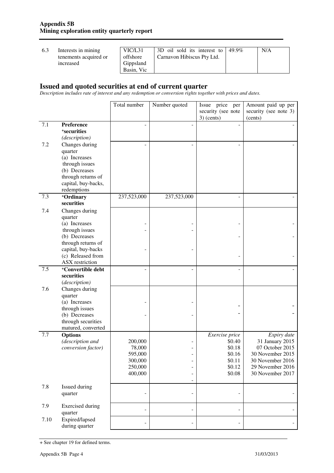| 6.3 | Interests in mining   | VIC/L31    | 3D oil sold its interest to $\frac{149.9\%}{2000}$ | N/A |
|-----|-----------------------|------------|----------------------------------------------------|-----|
|     | tenements acquired or | offshore   | Carnavon Hibiscus Pty Ltd.                         |     |
|     | increased             | Gippsland  |                                                    |     |
|     |                       | Basin, Vic |                                                    |     |

#### **Issued and quoted securities at end of current quarter**

*Description includes rate of interest and any redemption or conversion rights together with prices and dates.* 

|      |                                                                           | Total number                                                  | Number quoted                              | Issue price<br>per<br>security (see note<br>$3)$ (cents)                   | Amount paid up per<br>security (see note 3)<br>(cents)                                                                            |
|------|---------------------------------------------------------------------------|---------------------------------------------------------------|--------------------------------------------|----------------------------------------------------------------------------|-----------------------------------------------------------------------------------------------------------------------------------|
| 7.1  | Preference<br>+securities<br>(description)                                |                                                               |                                            |                                                                            |                                                                                                                                   |
| 7.2  | Changes during<br>quarter<br>(a) Increases<br>through issues              |                                                               |                                            |                                                                            |                                                                                                                                   |
|      | (b) Decreases<br>through returns of<br>capital, buy-backs,<br>redemptions |                                                               |                                            |                                                                            |                                                                                                                                   |
| 7.3  | +Ordinary<br>securities                                                   | 237,523,000                                                   | 237,523,000                                | $\sim$                                                                     |                                                                                                                                   |
| 7.4  | Changes during<br>quarter<br>(a) Increases                                |                                                               |                                            |                                                                            |                                                                                                                                   |
|      | through issues<br>(b) Decreases<br>through returns of                     |                                                               |                                            |                                                                            |                                                                                                                                   |
|      | capital, buy-backs<br>(c) Released from<br>ASX restriction                |                                                               |                                            |                                                                            |                                                                                                                                   |
| 7.5  | <sup>+</sup> Convertible debt<br>securities<br>(description)              |                                                               |                                            |                                                                            |                                                                                                                                   |
| 7.6  | Changes during<br>quarter<br>(a) Increases<br>through issues              |                                                               |                                            |                                                                            |                                                                                                                                   |
|      | (b) Decreases<br>through securities<br>matured, converted                 |                                                               |                                            |                                                                            |                                                                                                                                   |
| 7.7  | <b>Options</b><br>(description and<br>conversion factor)                  | 200,000<br>78,000<br>595,000<br>300,000<br>250,000<br>400,000 | $\blacksquare$<br>$\overline{\phantom{m}}$ | Exercise price<br>\$0.40<br>\$0.18<br>\$0.16<br>\$0.11<br>\$0.12<br>\$0.08 | Expiry date<br>31 January 2015<br>07 October 2015<br>30 November 2015<br>30 November 2016<br>29 November 2016<br>30 November 2017 |
| 7.8  | Issued during<br>quarter                                                  |                                                               | $\overline{\phantom{m}}$                   |                                                                            |                                                                                                                                   |
| 7.9  | <b>Exercised</b> during<br>quarter                                        |                                                               |                                            |                                                                            |                                                                                                                                   |
| 7.10 | Expired/lapsed<br>during quarter                                          |                                                               | $\overline{a}$                             |                                                                            |                                                                                                                                   |

<sup>+</sup> See chapter 19 for defined terms.